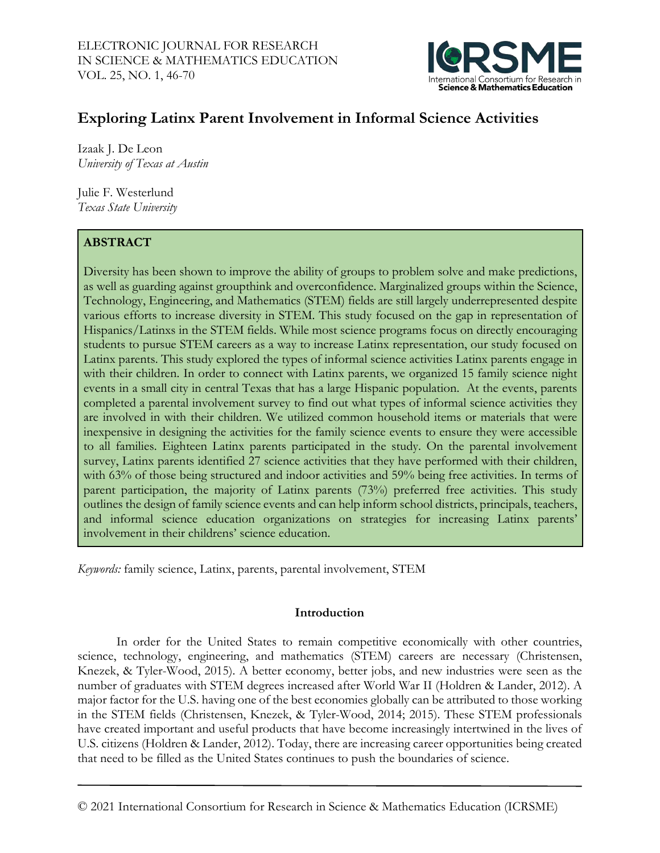

# **Exploring Latinx Parent Involvement in Informal Science Activities**

Izaak J. De Leon *University of Texas at Austin*

Julie F. Westerlund *Texas State University*

# **ABSTRACT**

Diversity has been shown to improve the ability of groups to problem solve and make predictions, as well as guarding against groupthink and overconfidence. Marginalized groups within the Science, Technology, Engineering, and Mathematics (STEM) fields are still largely underrepresented despite various efforts to increase diversity in STEM. This study focused on the gap in representation of Hispanics/Latinxs in the STEM fields. While most science programs focus on directly encouraging students to pursue STEM careers as a way to increase Latinx representation, our study focused on Latinx parents. This study explored the types of informal science activities Latinx parents engage in with their children. In order to connect with Latinx parents, we organized 15 family science night events in a small city in central Texas that has a large Hispanic population. At the events, parents completed a parental involvement survey to find out what types of informal science activities they are involved in with their children. We utilized common household items or materials that were inexpensive in designing the activities for the family science events to ensure they were accessible to all families. Eighteen Latinx parents participated in the study. On the parental involvement survey, Latinx parents identified 27 science activities that they have performed with their children, with 63% of those being structured and indoor activities and 59% being free activities. In terms of parent participation, the majority of Latinx parents (73%) preferred free activities. This study outlines the design of family science events and can help inform school districts, principals, teachers, and informal science education organizations on strategies for increasing Latinx parents' involvement in their childrens' science education.

*Keywords:* family science, Latinx, parents, parental involvement, STEM

### **Introduction**

In order for the United States to remain competitive economically with other countries, science, technology, engineering, and mathematics (STEM) careers are necessary (Christensen, Knezek, & Tyler-Wood, 2015). A better economy, better jobs, and new industries were seen as the number of graduates with STEM degrees increased after World War II (Holdren & Lander, 2012). A major factor for the U.S. having one of the best economies globally can be attributed to those working in the STEM fields (Christensen, Knezek, & Tyler-Wood, 2014; 2015). These STEM professionals have created important and useful products that have become increasingly intertwined in the lives of U.S. citizens (Holdren & Lander, 2012). Today, there are increasing career opportunities being created that need to be filled as the United States continues to push the boundaries of science.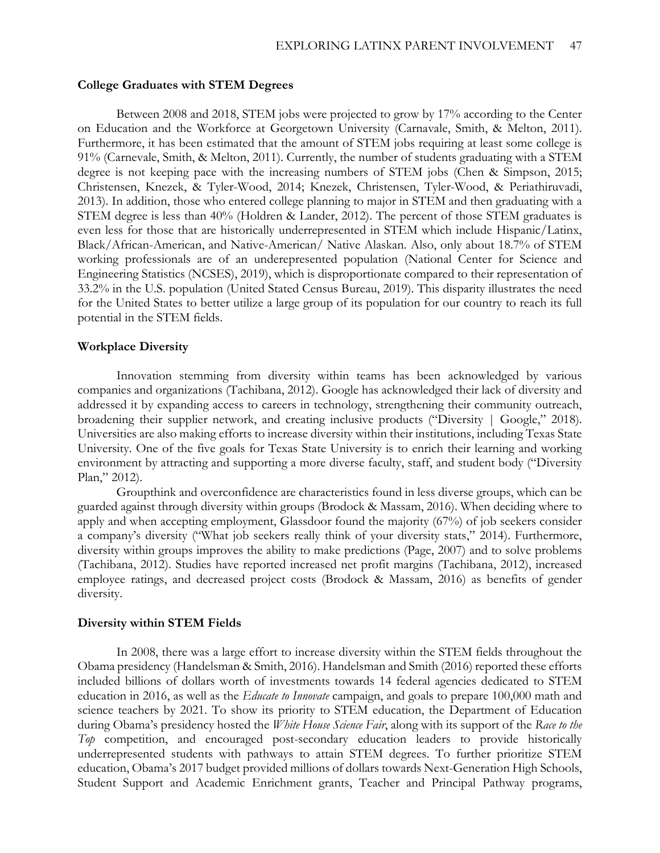#### **College Graduates with STEM Degrees**

Between 2008 and 2018, STEM jobs were projected to grow by 17% according to the Center on Education and the Workforce at Georgetown University (Carnavale, Smith, & Melton, 2011). Furthermore, it has been estimated that the amount of STEM jobs requiring at least some college is 91% (Carnevale, Smith, & Melton, 2011). Currently, the number of students graduating with a STEM degree is not keeping pace with the increasing numbers of STEM jobs (Chen & Simpson, 2015; Christensen, Knezek, & Tyler-Wood, 2014; Knezek, Christensen, Tyler-Wood, & Periathiruvadi, 2013). In addition, those who entered college planning to major in STEM and then graduating with a STEM degree is less than 40% (Holdren & Lander, 2012). The percent of those STEM graduates is even less for those that are historically underrepresented in STEM which include Hispanic/Latinx, Black/African-American, and Native-American/ Native Alaskan. Also, only about 18.7% of STEM working professionals are of an underepresented population (National Center for Science and Engineering Statistics (NCSES), 2019), which is disproportionate compared to their representation of 33.2% in the U.S. population (United Stated Census Bureau, 2019). This disparity illustrates the need for the United States to better utilize a large group of its population for our country to reach its full potential in the STEM fields.

#### **Workplace Diversity**

Innovation stemming from diversity within teams has been acknowledged by various companies and organizations (Tachibana, 2012). Google has acknowledged their lack of diversity and addressed it by expanding access to careers in technology, strengthening their community outreach, broadening their supplier network, and creating inclusive products ("Diversity | Google," 2018). Universities are also making efforts to increase diversity within their institutions, including Texas State University. One of the five goals for Texas State University is to enrich their learning and working environment by attracting and supporting a more diverse faculty, staff, and student body ("Diversity Plan," 2012).

Groupthink and overconfidence are characteristics found in less diverse groups, which can be guarded against through diversity within groups (Brodock & Massam, 2016). When deciding where to apply and when accepting employment, Glassdoor found the majority (67%) of job seekers consider a company's diversity ("What job seekers really think of your diversity stats," 2014). Furthermore, diversity within groups improves the ability to make predictions (Page, 2007) and to solve problems (Tachibana, 2012). Studies have reported increased net profit margins (Tachibana, 2012), increased employee ratings, and decreased project costs (Brodock & Massam, 2016) as benefits of gender diversity.

#### **Diversity within STEM Fields**

In 2008, there was a large effort to increase diversity within the STEM fields throughout the Obama presidency (Handelsman & Smith, 2016). Handelsman and Smith (2016) reported these efforts included billions of dollars worth of investments towards 14 federal agencies dedicated to STEM education in 2016, as well as the *Educate to Innovate* campaign, and goals to prepare 100,000 math and science teachers by 2021. To show its priority to STEM education, the Department of Education during Obama's presidency hosted the *White House Science Fair*, along with its support of the *Race to the Top* competition, and encouraged post-secondary education leaders to provide historically underrepresented students with pathways to attain STEM degrees. To further prioritize STEM education, Obama's 2017 budget provided millions of dollars towards Next-Generation High Schools, Student Support and Academic Enrichment grants, Teacher and Principal Pathway programs,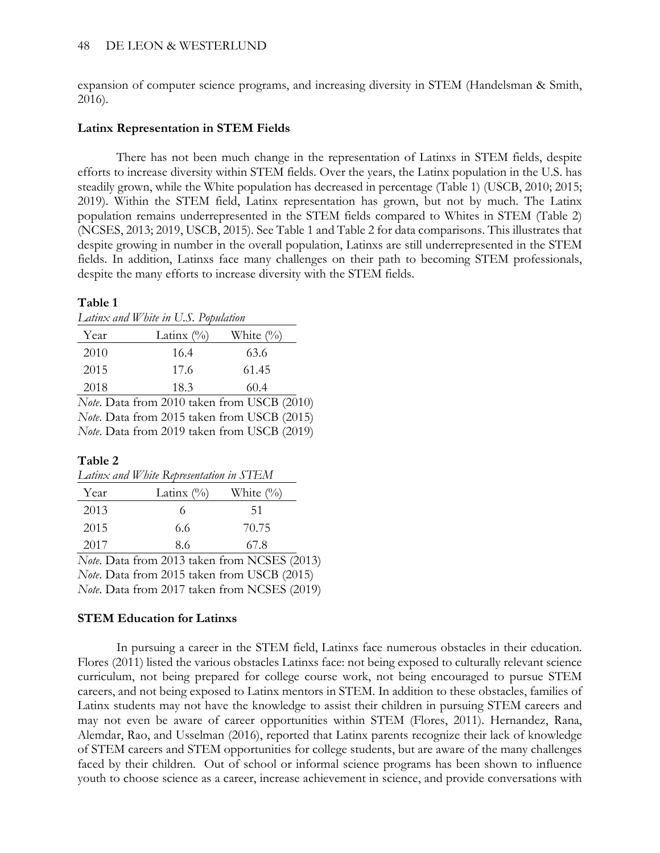expansion of computer science programs, and increasing diversity in STEM (Handelsman & Smith, 2016).

### **Latinx Representation in STEM Fields**

There has not been much change in the representation of Latinxs in STEM fields, despite efforts to increase diversity within STEM fields. Over the years, the Latinx population in the U.S. has steadily grown, while the White population has decreased in percentage (Table 1) (USCB, 2010; 2015; 2019). Within the STEM field, Latinx representation has grown, but not by much. The Latinx population remains underrepresented in the STEM fields compared to Whites in STEM (Table 2) (NCSES, 2013; 2019, USCB, 2015). See Table 1 and Table 2 for data comparisons. This illustrates that despite growing in number in the overall population, Latinxs are still underrepresented in the STEM fields. In addition, Latinxs face many challenges on their path to becoming STEM professionals, despite the many efforts to increase diversity with the STEM fields.

### **Table 1**

*Latinx and White in U.S. Population*

| 2010 | 16.4 | 63.6  |
|------|------|-------|
| 2015 | 17.6 | 61.45 |
| 2018 | 18.3 | 60.4  |

*Note*. Data from 2010 taken from USCB (2010) *Note*. Data from 2015 taken from USCB (2015) *Note*. Data from 2019 taken from USCB (2019)

# **Table 2**

| Latinx and White Representation in STEM |               |                     |  |  |  |  |
|-----------------------------------------|---------------|---------------------|--|--|--|--|
| Year                                    | Latinx $(\%)$ | White $\frac{1}{2}$ |  |  |  |  |
| 2013                                    | 6             | 51                  |  |  |  |  |
| 2015                                    | 6.6           | 70.75               |  |  |  |  |
| 2017                                    | 86            | 67 8                |  |  |  |  |

*Note*. Data from 2013 taken from NCSES (2013) *Note*. Data from 2015 taken from USCB (2015) *Note*. Data from 2017 taken from NCSES (2019)

# **STEM Education for Latinxs**

In pursuing a career in the STEM field, Latinxs face numerous obstacles in their education. Flores (2011) listed the various obstacles Latinxs face: not being exposed to culturally relevant science curriculum, not being prepared for college course work, not being encouraged to pursue STEM careers, and not being exposed to Latinx mentors in STEM. In addition to these obstacles, families of Latinx students may not have the knowledge to assist their children in pursuing STEM careers and may not even be aware of career opportunities within STEM (Flores, 2011). Hernandez, Rana, Alemdar, Rao, and Usselman (2016), reported that Latinx parents recognize their lack of knowledge of STEM careers and STEM opportunities for college students, but are aware of the many challenges faced by their children. Out of school or informal science programs has been shown to influence youth to choose science as a career, increase achievement in science, and provide conversations with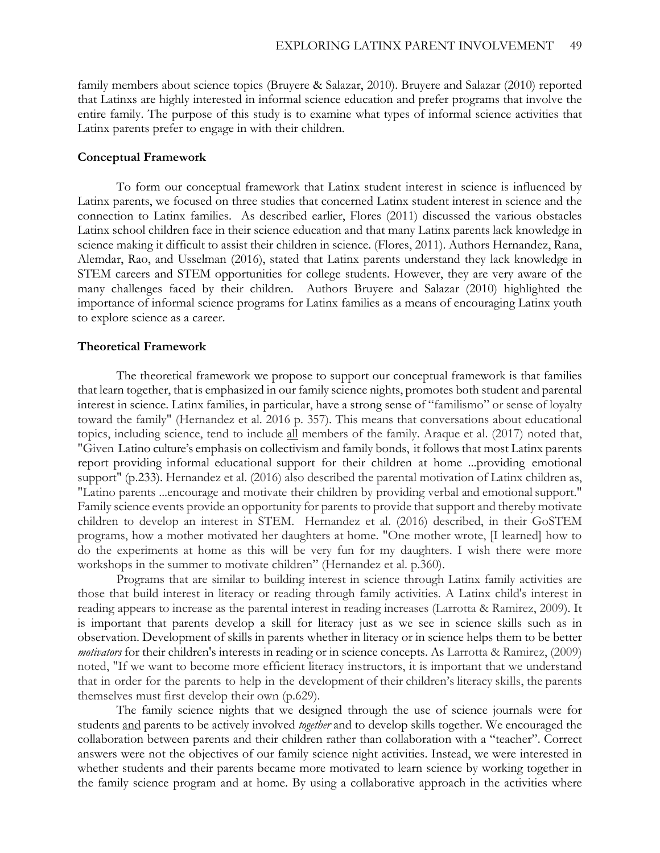family members about science topics (Bruyere & Salazar, 2010). Bruyere and Salazar (2010) reported that Latinxs are highly interested in informal science education and prefer programs that involve the entire family. The purpose of this study is to examine what types of informal science activities that Latinx parents prefer to engage in with their children.

#### **Conceptual Framework**

To form our conceptual framework that Latinx student interest in science is influenced by Latinx parents, we focused on three studies that concerned Latinx student interest in science and the connection to Latinx families. As described earlier, Flores (2011) discussed the various obstacles Latinx school children face in their science education and that many Latinx parents lack knowledge in science making it difficult to assist their children in science. (Flores, 2011). Authors Hernandez, Rana, Alemdar, Rao, and Usselman (2016), stated that Latinx parents understand they lack knowledge in STEM careers and STEM opportunities for college students. However, they are very aware of the many challenges faced by their children. Authors Bruyere and Salazar (2010) highlighted the importance of informal science programs for Latinx families as a means of encouraging Latinx youth to explore science as a career.

#### **Theoretical Framework**

The theoretical framework we propose to support our conceptual framework is that families that learn together, that is emphasized in our family science nights, promotes both student and parental interest in science. Latinx families, in particular, have a strong sense of "familismo" or sense of loyalty toward the family" (Hernandez et al. 2016 p. 357). This means that conversations about educational topics, including science, tend to include all members of the family. Araque et al. (2017) noted that, "Given Latino culture's emphasis on collectivism and family bonds, it follows that most Latinx parents report providing informal educational support for their children at home ...providing emotional support" (p.233). Hernandez et al. (2016) also described the parental motivation of Latinx children as, "Latino parents ...encourage and motivate their children by providing verbal and emotional support." Family science events provide an opportunity for parents to provide that support and thereby motivate children to develop an interest in STEM. Hernandez et al. (2016) described, in their GoSTEM programs, how a mother motivated her daughters at home. "One mother wrote, [I learned] how to do the experiments at home as this will be very fun for my daughters. I wish there were more workshops in the summer to motivate children" (Hernandez et al. p.360).

Programs that are similar to building interest in science through Latinx family activities are those that build interest in literacy or reading through family activities. A Latinx child's interest in reading appears to increase as the parental interest in reading increases (Larrotta & Ramirez, 2009). It is important that parents develop a skill for literacy just as we see in science skills such as in observation. Development of skills in parents whether in literacy or in science helps them to be better *motivators* for their children's interests in reading or in science concepts. As Larrotta & Ramirez, (2009) noted, "If we want to become more efficient literacy instructors, it is important that we understand that in order for the parents to help in the development of their children's literacy skills, the parents themselves must first develop their own (p.629).

The family science nights that we designed through the use of science journals were for students and parents to be actively involved *together* and to develop skills together. We encouraged the collaboration between parents and their children rather than collaboration with a "teacher". Correct answers were not the objectives of our family science night activities. Instead, we were interested in whether students and their parents became more motivated to learn science by working together in the family science program and at home. By using a collaborative approach in the activities where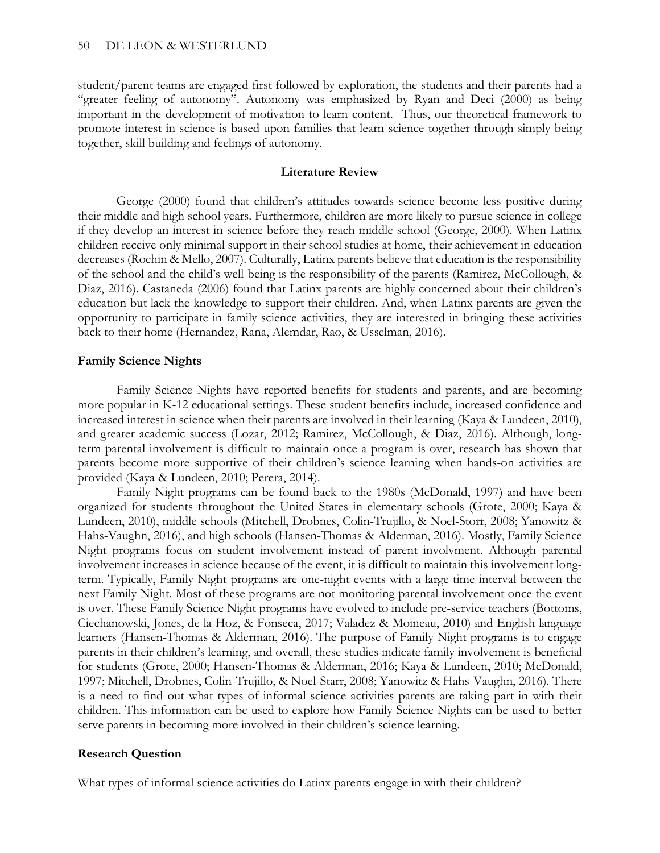student/parent teams are engaged first followed by exploration, the students and their parents had a "greater feeling of autonomy". Autonomy was emphasized by Ryan and Deci (2000) as being important in the development of motivation to learn content. Thus, our theoretical framework to promote interest in science is based upon families that learn science together through simply being together, skill building and feelings of autonomy.

#### **Literature Review**

George (2000) found that children's attitudes towards science become less positive during their middle and high school years. Furthermore, children are more likely to pursue science in college if they develop an interest in science before they reach middle school (George, 2000). When Latinx children receive only minimal support in their school studies at home, their achievement in education decreases (Rochin & Mello, 2007). Culturally, Latinx parents believe that education is the responsibility of the school and the child's well-being is the responsibility of the parents (Ramirez, McCollough, & Diaz, 2016). Castaneda (2006) found that Latinx parents are highly concerned about their children's education but lack the knowledge to support their children. And, when Latinx parents are given the opportunity to participate in family science activities, they are interested in bringing these activities back to their home (Hernandez, Rana, Alemdar, Rao, & Usselman, 2016).

#### **Family Science Nights**

Family Science Nights have reported benefits for students and parents, and are becoming more popular in K-12 educational settings. These student benefits include, increased confidence and increased interest in science when their parents are involved in their learning (Kaya & Lundeen, 2010), and greater academic success (Lozar, 2012; Ramirez, McCollough, & Diaz, 2016). Although, longterm parental involvement is difficult to maintain once a program is over, research has shown that parents become more supportive of their children's science learning when hands-on activities are provided (Kaya & Lundeen, 2010; Perera, 2014).

Family Night programs can be found back to the 1980s (McDonald, 1997) and have been organized for students throughout the United States in elementary schools (Grote, 2000; Kaya & Lundeen, 2010), middle schools (Mitchell, Drobnes, Colin-Trujillo, & Noel-Storr, 2008; Yanowitz & Hahs-Vaughn, 2016), and high schools (Hansen-Thomas & Alderman, 2016). Mostly, Family Science Night programs focus on student involvement instead of parent involvment. Although parental involvement increases in science because of the event, it is difficult to maintain this involvement longterm. Typically, Family Night programs are one-night events with a large time interval between the next Family Night. Most of these programs are not monitoring parental involvement once the event is over. These Family Science Night programs have evolved to include pre-service teachers (Bottoms, Ciechanowski, Jones, de la Hoz, & Fonseca, 2017; Valadez & Moineau, 2010) and English language learners (Hansen-Thomas & Alderman, 2016). The purpose of Family Night programs is to engage parents in their children's learning, and overall, these studies indicate family involvement is beneficial for students (Grote, 2000; Hansen-Thomas & Alderman, 2016; Kaya & Lundeen, 2010; McDonald, 1997; Mitchell, Drobnes, Colin-Trujillo, & Noel-Starr, 2008; Yanowitz & Hahs-Vaughn, 2016). There is a need to find out what types of informal science activities parents are taking part in with their children. This information can be used to explore how Family Science Nights can be used to better serve parents in becoming more involved in their children's science learning.

### **Research Question**

What types of informal science activities do Latinx parents engage in with their children?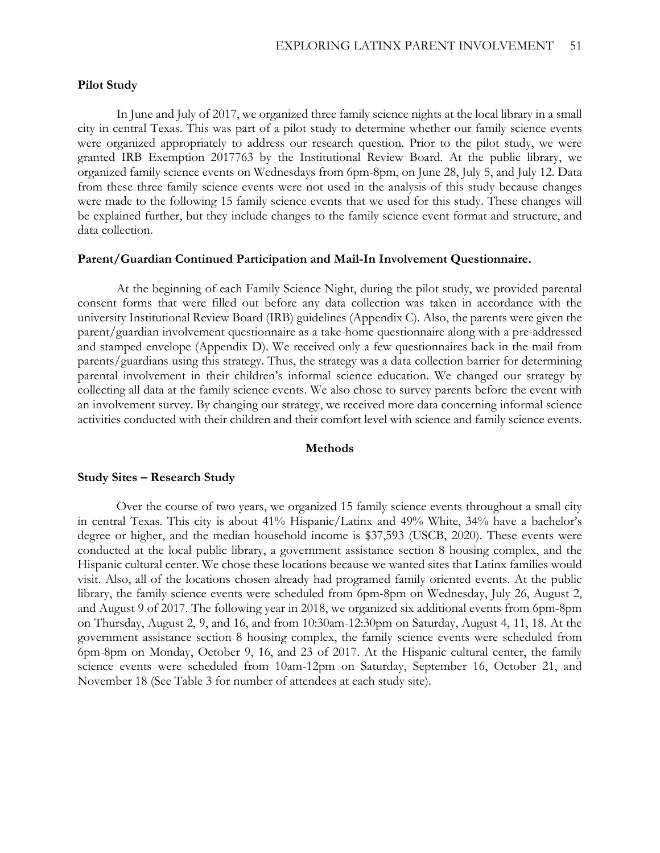#### **Pilot Study**

In June and July of 2017, we organized three family science nights at the local library in a small city in central Texas. This was part of a pilot study to determine whether our family science events were organized appropriately to address our research question. Prior to the pilot study, we were granted IRB Exemption 2017763 by the Institutional Review Board. At the public library, we organized family science events on Wednesdays from 6pm-8pm, on June 28, July 5, and July 12. Data from these three family science events were not used in the analysis of this study because changes were made to the following 15 family science events that we used for this study. These changes will be explained further, but they include changes to the family science event format and structure, and data collection.

#### **Parent/Guardian Continued Participation and Mail-In Involvement Questionnaire.**

At the beginning of each Family Science Night, during the pilot study, we provided parental consent forms that were filled out before any data collection was taken in accordance with the university Institutional Review Board (IRB) guidelines (Appendix C). Also, the parents were given the parent/guardian involvement questionnaire as a take-home questionnaire along with a pre-addressed and stamped envelope (Appendix D). We received only a few questionnaires back in the mail from parents/guardians using this strategy. Thus, the strategy was a data collection barrier for determining parental involvement in their children's informal science education. We changed our strategy by collecting all data at the family science events. We also chose to survey parents before the event with an involvement survey. By changing our strategy, we received more data concerning informal science activities conducted with their children and their comfort level with science and family science events.

#### **Methods**

#### **Study Sites – Research Study**

Over the course of two years, we organized 15 family science events throughout a small city in central Texas. This city is about 41% Hispanic/Latinx and 49% White, 34% have a bachelor's degree or higher, and the median household income is \$37,593 (USCB, 2020). These events were conducted at the local public library, a government assistance section 8 housing complex, and the Hispanic cultural center. We chose these locations because we wanted sites that Latinx families would visit. Also, all of the locations chosen already had programed family oriented events. At the public library, the family science events were scheduled from 6pm-8pm on Wednesday, July 26, August 2, and August 9 of 2017. The following year in 2018, we organized six additional events from 6pm-8pm on Thursday, August 2, 9, and 16, and from 10:30am-12:30pm on Saturday, August 4, 11, 18. At the government assistance section 8 housing complex, the family science events were scheduled from 6pm-8pm on Monday, October 9, 16, and 23 of 2017. At the Hispanic cultural center, the family science events were scheduled from 10am-12pm on Saturday, September 16, October 21, and November 18 (See Table 3 for number of attendees at each study site).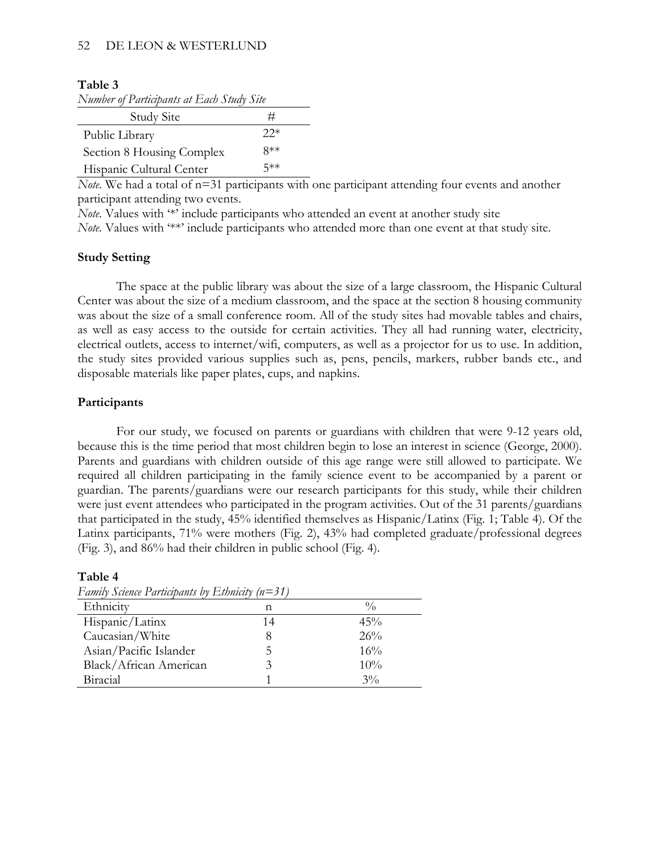#### 52 DE LEON & WESTERLUND

#### **Table 3**

| Number of Participants at Each Study Site |  |  |
|-------------------------------------------|--|--|
|                                           |  |  |

| Study Site                | ⋣     |
|---------------------------|-------|
| Public Library            | $22*$ |
| Section 8 Housing Complex | $8**$ |
| Hispanic Cultural Center  | 5**   |

*Note.* We had a total of n=31 participants with one participant attending four events and another participant attending two events.

*Note.* Values with '\*' include participants who attended an event at another study site

*Note.* Values with '\*\*' include participants who attended more than one event at that study site.

#### **Study Setting**

The space at the public library was about the size of a large classroom, the Hispanic Cultural Center was about the size of a medium classroom, and the space at the section 8 housing community was about the size of a small conference room. All of the study sites had movable tables and chairs, as well as easy access to the outside for certain activities. They all had running water, electricity, electrical outlets, access to internet/wifi, computers, as well as a projector for us to use. In addition, the study sites provided various supplies such as, pens, pencils, markers, rubber bands etc., and disposable materials like paper plates, cups, and napkins.

#### **Participants**

For our study, we focused on parents or guardians with children that were 9-12 years old, because this is the time period that most children begin to lose an interest in science (George, 2000). Parents and guardians with children outside of this age range were still allowed to participate. We required all children participating in the family science event to be accompanied by a parent or guardian. The parents/guardians were our research participants for this study, while their children were just event attendees who participated in the program activities. Out of the 31 parents/guardians that participated in the study, 45% identified themselves as Hispanic/Latinx (Fig. 1; Table 4). Of the Latinx participants, 71% were mothers (Fig. 2), 43% had completed graduate/professional degrees (Fig. 3), and 86% had their children in public school (Fig. 4).

| Family Science Participants by Ethnicity $(n=31)$ |    |               |  |  |  |  |
|---------------------------------------------------|----|---------------|--|--|--|--|
| Ethnicity                                         | n  | $\frac{0}{0}$ |  |  |  |  |
| Hispanic/Latinx                                   | 14 | 45%           |  |  |  |  |
| Caucasian/White                                   | 8  | 26%           |  |  |  |  |
| Asian/Pacific Islander                            | 5  | 16%           |  |  |  |  |
| Black/African American                            | 3  | 10%           |  |  |  |  |
| Biracial                                          |    | $3\%$         |  |  |  |  |

#### **Table 4**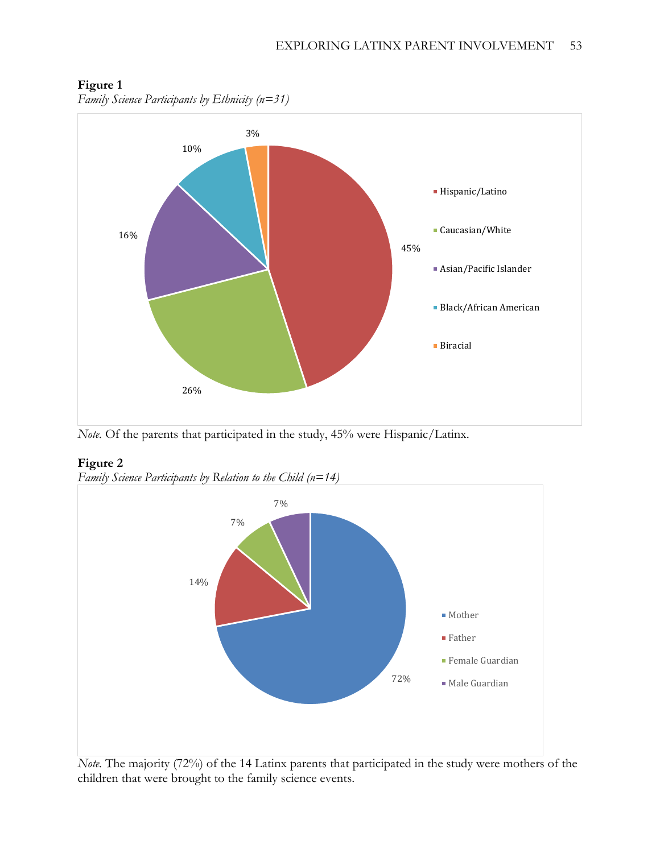

# **Figure 1**

*Family Science Participants by Ethnicity (n=31)*

*Note.* Of the parents that participated in the study, 45% were Hispanic/Latinx.

# **Figure 2**





*Note.* The majority (72%) of the 14 Latinx parents that participated in the study were mothers of the children that were brought to the family science events.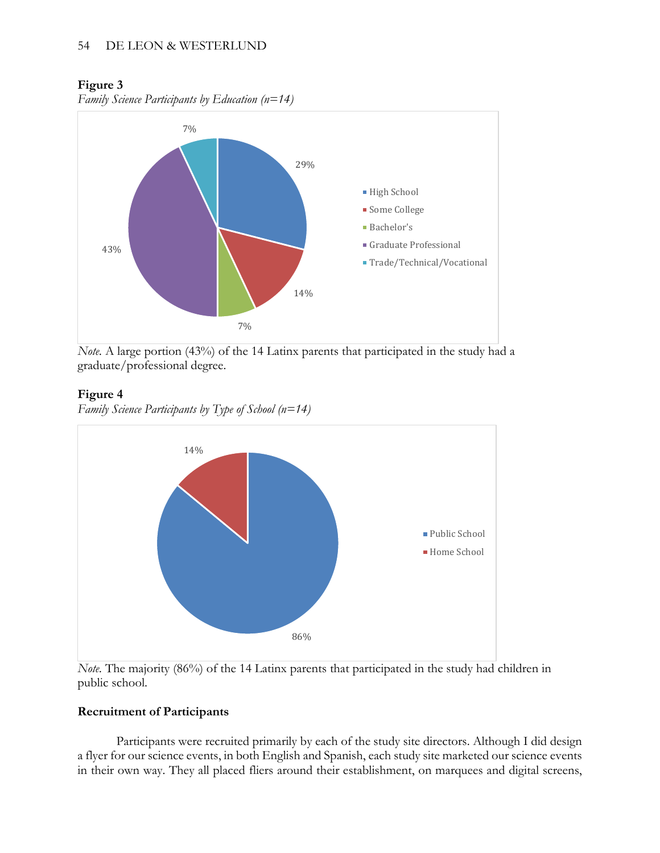### **Figure 3**

*Family Science Participants by Education (n=14)*



*Note.* A large portion (43%) of the 14 Latinx parents that participated in the study had a graduate/professional degree.

### **Figure 4**

*Family Science Participants by Type of School (n=14)*



*Note.* The majority (86%) of the 14 Latinx parents that participated in the study had children in public school.

### **Recruitment of Participants**

Participants were recruited primarily by each of the study site directors. Although I did design a flyer for our science events, in both English and Spanish, each study site marketed our science events in their own way. They all placed fliers around their establishment, on marquees and digital screens,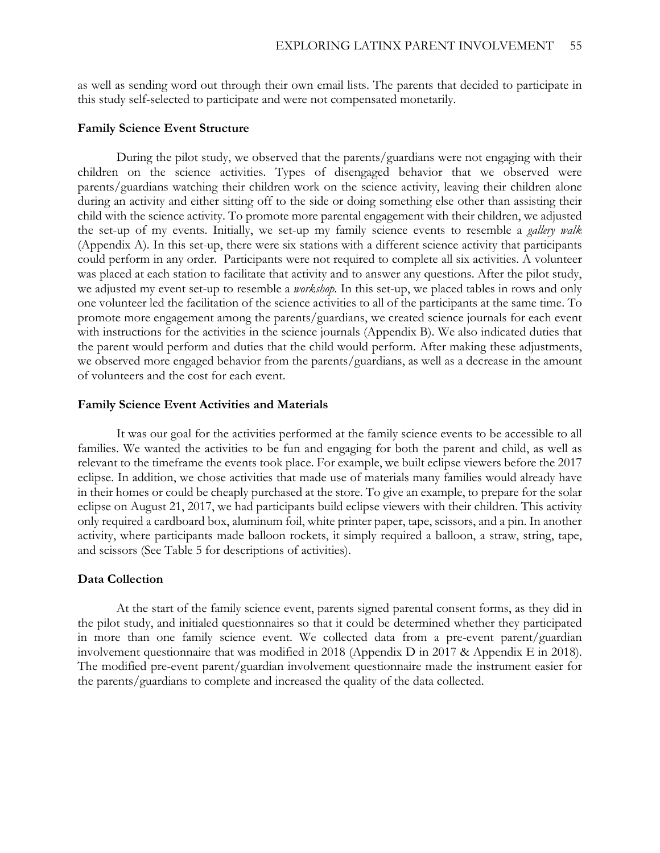as well as sending word out through their own email lists. The parents that decided to participate in this study self-selected to participate and were not compensated monetarily.

#### **Family Science Event Structure**

During the pilot study, we observed that the parents/guardians were not engaging with their children on the science activities. Types of disengaged behavior that we observed were parents/guardians watching their children work on the science activity, leaving their children alone during an activity and either sitting off to the side or doing something else other than assisting their child with the science activity. To promote more parental engagement with their children, we adjusted the set-up of my events. Initially, we set-up my family science events to resemble a *gallery walk* (Appendix A). In this set-up, there were six stations with a different science activity that participants could perform in any order. Participants were not required to complete all six activities. A volunteer was placed at each station to facilitate that activity and to answer any questions. After the pilot study, we adjusted my event set-up to resemble a *workshop.* In this set-up, we placed tables in rows and only one volunteer led the facilitation of the science activities to all of the participants at the same time. To promote more engagement among the parents/guardians, we created science journals for each event with instructions for the activities in the science journals (Appendix B). We also indicated duties that the parent would perform and duties that the child would perform. After making these adjustments, we observed more engaged behavior from the parents/guardians, as well as a decrease in the amount of volunteers and the cost for each event.

#### **Family Science Event Activities and Materials**

It was our goal for the activities performed at the family science events to be accessible to all families. We wanted the activities to be fun and engaging for both the parent and child, as well as relevant to the timeframe the events took place. For example, we built eclipse viewers before the 2017 eclipse. In addition, we chose activities that made use of materials many families would already have in their homes or could be cheaply purchased at the store. To give an example, to prepare for the solar eclipse on August 21, 2017, we had participants build eclipse viewers with their children. This activity only required a cardboard box, aluminum foil, white printer paper, tape, scissors, and a pin. In another activity, where participants made balloon rockets, it simply required a balloon, a straw, string, tape, and scissors (See Table 5 for descriptions of activities).

#### **Data Collection**

At the start of the family science event, parents signed parental consent forms, as they did in the pilot study, and initialed questionnaires so that it could be determined whether they participated in more than one family science event. We collected data from a pre-event parent/guardian involvement questionnaire that was modified in 2018 (Appendix D in 2017 & Appendix E in 2018). The modified pre-event parent/guardian involvement questionnaire made the instrument easier for the parents/guardians to complete and increased the quality of the data collected.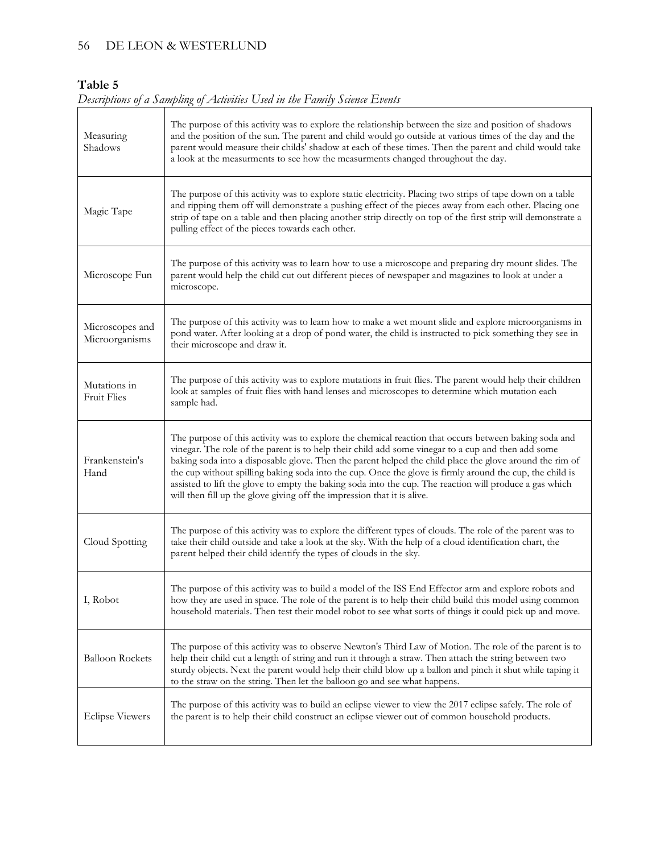### 56 DE LEON & WESTERLUND

# **Table 5**

| Descriptions of a Sampling of Activities Used in the Family Science Events |  |  |  |
|----------------------------------------------------------------------------|--|--|--|
|                                                                            |  |  |  |

| Measuring<br>Shadows              | The purpose of this activity was to explore the relationship between the size and position of shadows<br>and the position of the sun. The parent and child would go outside at various times of the day and the<br>parent would measure their childs' shadow at each of these times. Then the parent and child would take<br>a look at the measurments to see how the measurments changed throughout the day.                                                                                                                                                                                                            |
|-----------------------------------|--------------------------------------------------------------------------------------------------------------------------------------------------------------------------------------------------------------------------------------------------------------------------------------------------------------------------------------------------------------------------------------------------------------------------------------------------------------------------------------------------------------------------------------------------------------------------------------------------------------------------|
| Magic Tape                        | The purpose of this activity was to explore static electricity. Placing two strips of tape down on a table<br>and ripping them off will demonstrate a pushing effect of the pieces away from each other. Placing one<br>strip of tape on a table and then placing another strip directly on top of the first strip will demonstrate a<br>pulling effect of the pieces towards each other.                                                                                                                                                                                                                                |
| Microscope Fun                    | The purpose of this activity was to learn how to use a microscope and preparing dry mount slides. The<br>parent would help the child cut out different pieces of newspaper and magazines to look at under a<br>microscope.                                                                                                                                                                                                                                                                                                                                                                                               |
| Microscopes and<br>Microorganisms | The purpose of this activity was to learn how to make a wet mount slide and explore microorganisms in<br>pond water. After looking at a drop of pond water, the child is instructed to pick something they see in<br>their microscope and draw it.                                                                                                                                                                                                                                                                                                                                                                       |
| Mutations in<br>Fruit Flies       | The purpose of this activity was to explore mutations in fruit flies. The parent would help their children<br>look at samples of fruit flies with hand lenses and microscopes to determine which mutation each<br>sample had.                                                                                                                                                                                                                                                                                                                                                                                            |
| Frankenstein's<br>Hand            | The purpose of this activity was to explore the chemical reaction that occurs between baking soda and<br>vinegar. The role of the parent is to help their child add some vinegar to a cup and then add some<br>baking soda into a disposable glove. Then the parent helped the child place the glove around the rim of<br>the cup without spilling baking soda into the cup. Once the glove is firmly around the cup, the child is<br>assisted to lift the glove to empty the baking soda into the cup. The reaction will produce a gas which<br>will then fill up the glove giving off the impression that it is alive. |
| Cloud Spotting                    | The purpose of this activity was to explore the different types of clouds. The role of the parent was to<br>take their child outside and take a look at the sky. With the help of a cloud identification chart, the<br>parent helped their child identify the types of clouds in the sky.                                                                                                                                                                                                                                                                                                                                |
| I, Robot                          | The purpose of this activity was to build a model of the ISS End Effector arm and explore robots and<br>how they are used in space. The role of the parent is to help their child build this model using common<br>household materials. Then test their model robot to see what sorts of things it could pick up and move.                                                                                                                                                                                                                                                                                               |
| <b>Balloon Rockets</b>            | The purpose of this activity was to observe Newton's Third Law of Motion. The role of the parent is to<br>help their child cut a length of string and run it through a straw. Then attach the string between two<br>sturdy objects. Next the parent would help their child blow up a ballon and pinch it shut while taping it<br>to the straw on the string. Then let the balloon go and see what happens.                                                                                                                                                                                                               |
| <b>Eclipse Viewers</b>            | The purpose of this activity was to build an eclipse viewer to view the 2017 eclipse safely. The role of<br>the parent is to help their child construct an eclipse viewer out of common household products.                                                                                                                                                                                                                                                                                                                                                                                                              |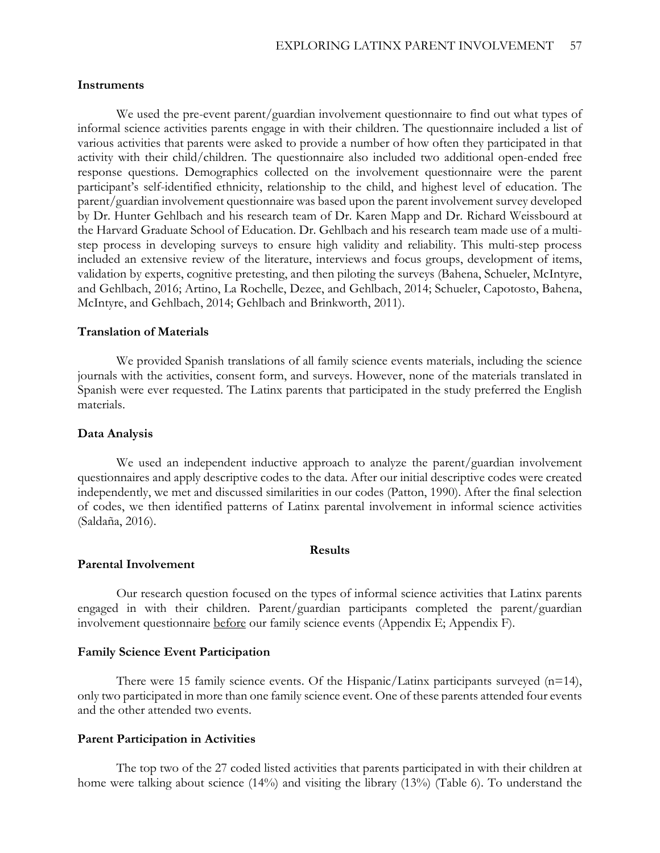#### **Instruments**

We used the pre-event parent/guardian involvement questionnaire to find out what types of informal science activities parents engage in with their children. The questionnaire included a list of various activities that parents were asked to provide a number of how often they participated in that activity with their child/children. The questionnaire also included two additional open-ended free response questions. Demographics collected on the involvement questionnaire were the parent participant's self-identified ethnicity, relationship to the child, and highest level of education. The parent/guardian involvement questionnaire was based upon the parent involvement survey developed by Dr. Hunter Gehlbach and his research team of Dr. Karen Mapp and Dr. Richard Weissbourd at the Harvard Graduate School of Education. Dr. Gehlbach and his research team made use of a multistep process in developing surveys to ensure high validity and reliability. This multi-step process included an extensive review of the literature, interviews and focus groups, development of items, validation by experts, cognitive pretesting, and then piloting the surveys (Bahena, Schueler, McIntyre, and Gehlbach, 2016; Artino, La Rochelle, Dezee, and Gehlbach, 2014; Schueler, Capotosto, Bahena, McIntyre, and Gehlbach, 2014; Gehlbach and Brinkworth, 2011).

#### **Translation of Materials**

We provided Spanish translations of all family science events materials, including the science journals with the activities, consent form, and surveys. However, none of the materials translated in Spanish were ever requested. The Latinx parents that participated in the study preferred the English materials.

#### **Data Analysis**

We used an independent inductive approach to analyze the parent/guardian involvement questionnaires and apply descriptive codes to the data. After our initial descriptive codes were created independently, we met and discussed similarities in our codes (Patton, 1990). After the final selection of codes, we then identified patterns of Latinx parental involvement in informal science activities (Saldaña, 2016).

### **Results**

#### **Parental Involvement**

Our research question focused on the types of informal science activities that Latinx parents engaged in with their children. Parent/guardian participants completed the parent/guardian involvement questionnaire before our family science events (Appendix E; Appendix F).

#### **Family Science Event Participation**

There were 15 family science events. Of the Hispanic/Latinx participants surveyed  $(n=14)$ , only two participated in more than one family science event. One of these parents attended four events and the other attended two events.

#### **Parent Participation in Activities**

The top two of the 27 coded listed activities that parents participated in with their children at home were talking about science (14%) and visiting the library (13%) (Table 6). To understand the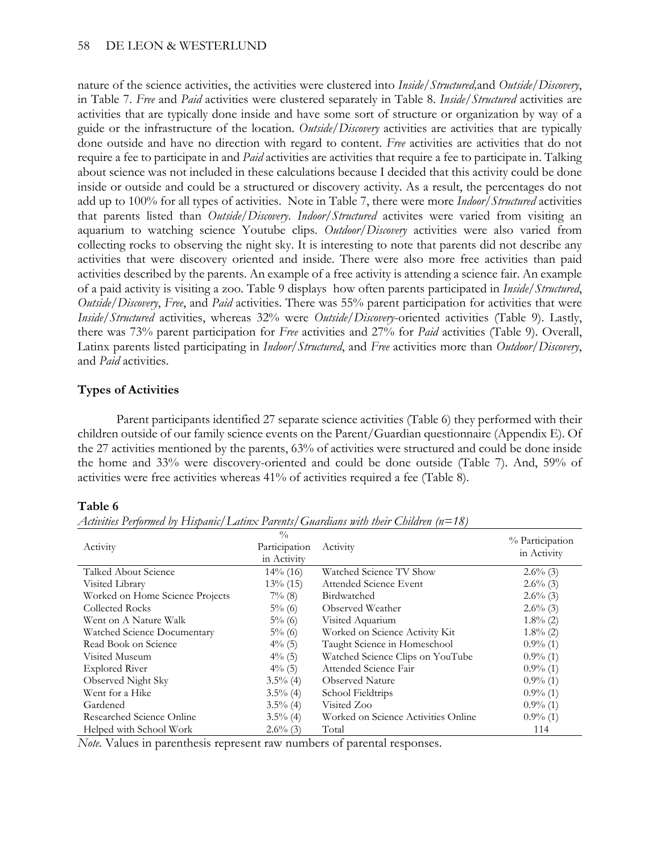nature of the science activities, the activities were clustered into *Inside/Structured,*and *Outside/Discovery*, in Table 7. *Free* and *Paid* activities were clustered separately in Table 8. *Inside/Structured* activities are activities that are typically done inside and have some sort of structure or organization by way of a guide or the infrastructure of the location. *Outside/Discovery* activities are activities that are typically done outside and have no direction with regard to content. *Free* activities are activities that do not require a fee to participate in and *Paid* activities are activities that require a fee to participate in. Talking about science was not included in these calculations because I decided that this activity could be done inside or outside and could be a structured or discovery activity. As a result, the percentages do not add up to 100% for all types of activities. Note in Table 7, there were more *Indoor/Structured* activities that parents listed than *Outside/Discovery*. *Indoor/Structured* activites were varied from visiting an aquarium to watching science Youtube clips. *Outdoor/Discovery* activities were also varied from collecting rocks to observing the night sky. It is interesting to note that parents did not describe any activities that were discovery oriented and inside. There were also more free activities than paid activities described by the parents. An example of a free activity is attending a science fair. An example of a paid activity is visiting a zoo. Table 9 displays how often parents participated in *Inside/Structured*, *Outside/Discovery*, *Free*, and *Paid* activities. There was 55% parent participation for activities that were *Inside/Structured* activities, whereas 32% were *Outside/Discovery*-oriented activities (Table 9). Lastly, there was 73% parent participation for *Free* activities and 27% for *Paid* activities (Table 9). Overall, Latinx parents listed participating in *Indoor/Structured*, and *Free* activities more than *Outdoor/Discovery*, and *Paid* activities.

### **Types of Activities**

Parent participants identified 27 separate science activities (Table 6) they performed with their children outside of our family science events on the Parent/Guardian questionnaire (Appendix E). Of the 27 activities mentioned by the parents, 63% of activities were structured and could be done inside the home and 33% were discovery-oriented and could be done outside (Table 7). And, 59% of activities were free activities whereas 41% of activities required a fee (Table 8).

#### **Table 6**

| Activity                        | $\frac{0}{0}$<br>Participation<br>in Activity | Activity                            | % Participation<br>in Activity |
|---------------------------------|-----------------------------------------------|-------------------------------------|--------------------------------|
| Talked About Science            | $14\%$ (16)                                   | Watched Science TV Show             | $2.6\%$ (3)                    |
| Visited Library                 | $13\%$ (15)                                   | Attended Science Event              | $2.6\%$ (3)                    |
| Worked on Home Science Projects | $7\%$ (8)                                     | Birdwatched                         | $2.6\%$ (3)                    |
| Collected Rocks                 | $5\%$ (6)                                     | Observed Weather                    | $2.6\%$ (3)                    |
| Went on A Nature Walk           | $5\%$ (6)                                     | Visited Aquarium                    | $1.8\%$ (2)                    |
| Watched Science Documentary     | $5\%$ (6)                                     | Worked on Science Activity Kit      | $1.8\%$ (2)                    |
| Read Book on Science            | $4\%$ (5)                                     | Taught Science in Homeschool        | $0.9\%$ (1)                    |
| Visited Museum                  | $4\%$ (5)                                     | Watched Science Clips on YouTube    | $0.9\%$ (1)                    |
| <b>Explored River</b>           | $4\%$ (5)                                     | Attended Science Fair               | $0.9\%$ (1)                    |
| Observed Night Sky              | $3.5\%$ (4)                                   | <b>Observed Nature</b>              | $0.9\%$ (1)                    |
| Went for a Hike                 | $3.5\%$ (4)                                   | School Fieldtrips                   | $0.9\%$ (1)                    |
| Gardened                        | $3.5\%$ (4)                                   | Visited Zoo                         | $0.9\%$ (1)                    |
| Researched Science Online       | $3.5\%$ (4)                                   | Worked on Science Activities Online | $0.9\%$ (1)                    |
| Helped with School Work         | $2.6\%$ (3)                                   | Total                               | 114                            |

*Activities Performed by Hispanic/Latinx Parents/Guardians with their Children (n=18)*

*Note.* Values in parenthesis represent raw numbers of parental responses.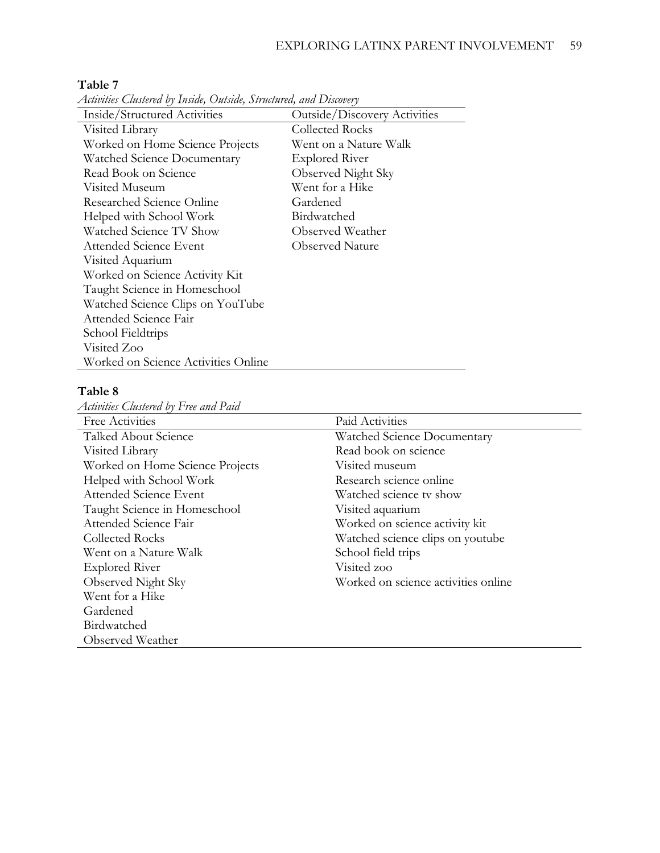| Inside/Structured Activities        | Outside/Discovery Activities |
|-------------------------------------|------------------------------|
| Visited Library                     | <b>Collected Rocks</b>       |
| Worked on Home Science Projects     | Went on a Nature Walk        |
| Watched Science Documentary         | <b>Explored River</b>        |
| Read Book on Science                | Observed Night Sky           |
| Visited Museum                      | Went for a Hike              |
| Researched Science Online           | Gardened                     |
| Helped with School Work             | Birdwatched                  |
| Watched Science TV Show             | Observed Weather             |
| Attended Science Event              | <b>Observed Nature</b>       |
| Visited Aquarium                    |                              |
| Worked on Science Activity Kit      |                              |
| Taught Science in Homeschool        |                              |
| Watched Science Clips on YouTube    |                              |
| Attended Science Fair               |                              |
| School Fieldtrips                   |                              |
| Visited Zoo                         |                              |
| Worked on Science Activities Online |                              |

#### **Table 7**

*Activities Clustered by Inside, Outside, Structured, and Discovery*

### **Table 8**

*Activities Clustered by Free and Paid*

| Free Activities                 | Paid Activities                     |
|---------------------------------|-------------------------------------|
| Talked About Science            | Watched Science Documentary         |
| Visited Library                 | Read book on science                |
| Worked on Home Science Projects | Visited museum                      |
| Helped with School Work         | Research science online             |
| Attended Science Event          | Watched science tv show             |
| Taught Science in Homeschool    | Visited aquarium                    |
| Attended Science Fair           | Worked on science activity kit      |
| <b>Collected Rocks</b>          | Watched science clips on youtube    |
| Went on a Nature Walk           | School field trips                  |
| <b>Explored River</b>           | Visited zoo                         |
| Observed Night Sky              | Worked on science activities online |
| Went for a Hike                 |                                     |
| Gardened                        |                                     |
| Birdwatched                     |                                     |
| Observed Weather                |                                     |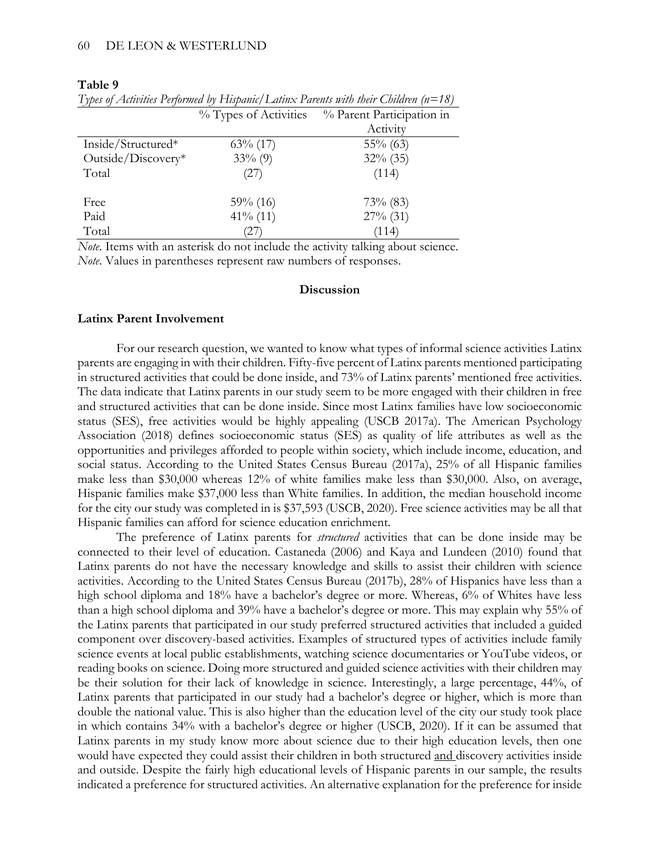#### **Table 9**

|                    | % Types of Activities | % Parent Participation in |
|--------------------|-----------------------|---------------------------|
|                    |                       | Activity                  |
| Inside/Structured* | $63\%$ (17)           | $55\%$ (63)               |
| Outside/Discovery* | $33\%$ (9)            | $32\%$ (35)               |
| Total              | (27)                  | (114)                     |
| Free               | $59\%$ (16)           | $73\%$ (83)               |
| Paid               | $41\%$ (11)           | $27\%$ (31)               |
| Total              | 27                    | (114)                     |

*Types of Activities Performed by Hispanic/Latinx Parents with their Children (n=18)*

*Note*. Items with an asterisk do not include the activity talking about science. *Note*. Values in parentheses represent raw numbers of responses.

#### **Discussion**

#### **Latinx Parent Involvement**

For our research question, we wanted to know what types of informal science activities Latinx parents are engaging in with their children. Fifty-five percent of Latinx parents mentioned participating in structured activities that could be done inside, and 73% of Latinx parents' mentioned free activities. The data indicate that Latinx parents in our study seem to be more engaged with their children in free and structured activities that can be done inside. Since most Latinx families have low socioeconomic status (SES), free activities would be highly appealing (USCB 2017a). The American Psychology Association (2018) defines socioeconomic status (SES) as quality of life attributes as well as the opportunities and privileges afforded to people within society, which include income, education, and social status. According to the United States Census Bureau (2017a), 25% of all Hispanic families make less than \$30,000 whereas 12% of white families make less than \$30,000. Also, on average, Hispanic families make \$37,000 less than White families. In addition, the median household income for the city our study was completed in is \$37,593 (USCB, 2020). Free science activities may be all that Hispanic families can afford for science education enrichment.

The preference of Latinx parents for *structured* activities that can be done inside may be connected to their level of education. Castaneda (2006) and Kaya and Lundeen (2010) found that Latinx parents do not have the necessary knowledge and skills to assist their children with science activities. According to the United States Census Bureau (2017b), 28% of Hispanics have less than a high school diploma and 18% have a bachelor's degree or more. Whereas, 6% of Whites have less than a high school diploma and 39% have a bachelor's degree or more. This may explain why 55% of the Latinx parents that participated in our study preferred structured activities that included a guided component over discovery-based activities. Examples of structured types of activities include family science events at local public establishments, watching science documentaries or YouTube videos, or reading books on science. Doing more structured and guided science activities with their children may be their solution for their lack of knowledge in science. Interestingly, a large percentage, 44%, of Latinx parents that participated in our study had a bachelor's degree or higher, which is more than double the national value. This is also higher than the education level of the city our study took place in which contains 34% with a bachelor's degree or higher (USCB, 2020). If it can be assumed that Latinx parents in my study know more about science due to their high education levels, then one would have expected they could assist their children in both structured and discovery activities inside and outside. Despite the fairly high educational levels of Hispanic parents in our sample, the results indicated a preference for structured activities. An alternative explanation for the preference for inside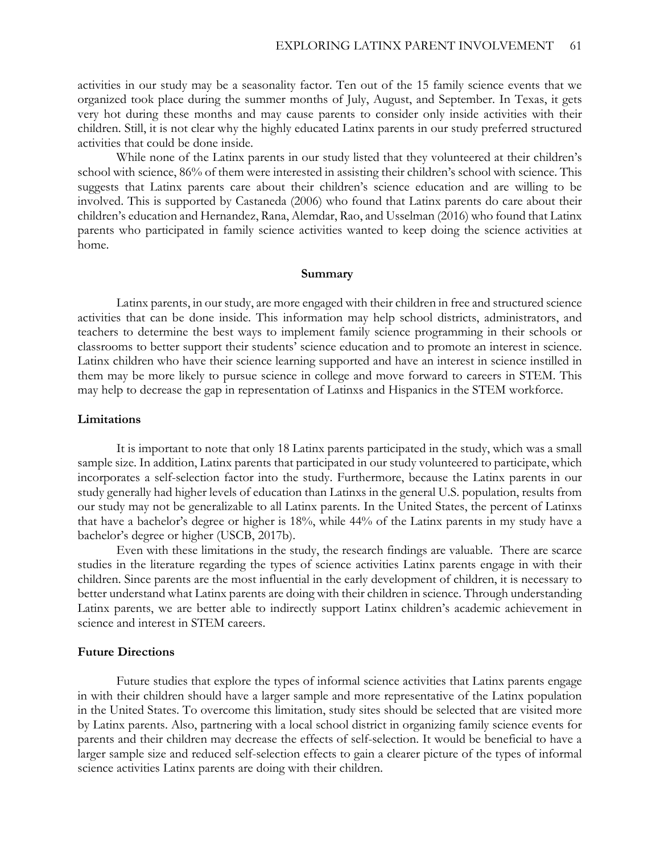activities in our study may be a seasonality factor. Ten out of the 15 family science events that we organized took place during the summer months of July, August, and September. In Texas, it gets very hot during these months and may cause parents to consider only inside activities with their children. Still, it is not clear why the highly educated Latinx parents in our study preferred structured activities that could be done inside.

While none of the Latinx parents in our study listed that they volunteered at their children's school with science, 86% of them were interested in assisting their children's school with science. This suggests that Latinx parents care about their children's science education and are willing to be involved. This is supported by Castaneda (2006) who found that Latinx parents do care about their children's education and Hernandez, Rana, Alemdar, Rao, and Usselman (2016) who found that Latinx parents who participated in family science activities wanted to keep doing the science activities at home.

#### **Summary**

Latinx parents, in our study, are more engaged with their children in free and structured science activities that can be done inside. This information may help school districts, administrators, and teachers to determine the best ways to implement family science programming in their schools or classrooms to better support their students' science education and to promote an interest in science. Latinx children who have their science learning supported and have an interest in science instilled in them may be more likely to pursue science in college and move forward to careers in STEM. This may help to decrease the gap in representation of Latinxs and Hispanics in the STEM workforce.

#### **Limitations**

It is important to note that only 18 Latinx parents participated in the study, which was a small sample size. In addition, Latinx parents that participated in our study volunteered to participate, which incorporates a self-selection factor into the study. Furthermore, because the Latinx parents in our study generally had higher levels of education than Latinxs in the general U.S. population, results from our study may not be generalizable to all Latinx parents. In the United States, the percent of Latinxs that have a bachelor's degree or higher is 18%, while 44% of the Latinx parents in my study have a bachelor's degree or higher (USCB, 2017b).

Even with these limitations in the study, the research findings are valuable. There are scarce studies in the literature regarding the types of science activities Latinx parents engage in with their children. Since parents are the most influential in the early development of children, it is necessary to better understand what Latinx parents are doing with their children in science. Through understanding Latinx parents, we are better able to indirectly support Latinx children's academic achievement in science and interest in STEM careers.

#### **Future Directions**

Future studies that explore the types of informal science activities that Latinx parents engage in with their children should have a larger sample and more representative of the Latinx population in the United States. To overcome this limitation, study sites should be selected that are visited more by Latinx parents. Also, partnering with a local school district in organizing family science events for parents and their children may decrease the effects of self-selection. It would be beneficial to have a larger sample size and reduced self-selection effects to gain a clearer picture of the types of informal science activities Latinx parents are doing with their children.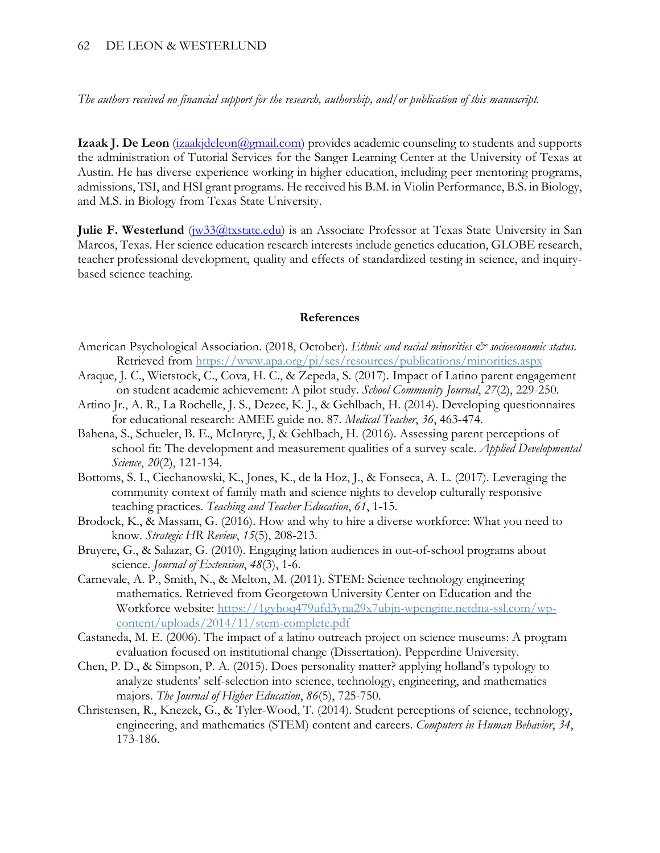#### 62 DE LEON & WESTERLUND

*The authors received no financial support for the research, authorship, and/or publication of this manuscript.*

**Izaak J. De Leon** (*izaakjdeleon@gmail.com*) provides academic counseling to students and supports the administration of Tutorial Services for the Sanger Learning Center at the University of Texas at Austin. He has diverse experience working in higher education, including peer mentoring programs, admissions, TSI, and HSI grant programs. He received his B.M. in Violin Performance, B.S. in Biology, and M.S. in Biology from Texas State University.

**Julie F. Westerlund** (*w33@txstate.edu*) is an Associate Professor at Texas State University in San Marcos, Texas. Her science education research interests include genetics education, GLOBE research, teacher professional development, quality and effects of standardized testing in science, and inquirybased science teaching.

#### **References**

- American Psychological Association. (2018, October). *Ethnic and racial minorities*  $\mathcal{O}$  *socioeconomic status*. Retrieved from<https://www.apa.org/pi/ses/resources/publications/minorities.aspx>
- Araque, J. C., Wietstock, C., Cova, H. C., & Zepeda, S. (2017). Impact of Latino parent engagement on student academic achievement: A pilot study. *School Community Journal*, *27*(2), 229-250.
- Artino Jr., A. R., La Rochelle, J. S., Dezee, K. J., & Gehlbach, H. (2014). Developing questionnaires for educational research: AMEE guide no. 87. *Medical Teacher*, *36*, 463-474.
- Bahena, S., Schueler, B. E., McIntyre, J, & Gehlbach, H. (2016). Assessing parent perceptions of school fit: The development and measurement qualities of a survey scale. *Applied Developmental Science*, *20*(2), 121-134.
- Bottoms, S. I., Ciechanowski, K., Jones, K., de la Hoz, J., & Fonseca, A. L. (2017). Leveraging the community context of family math and science nights to develop culturally responsive teaching practices. *Teaching and Teacher Education*, *61*, 1-15.
- Brodock, K., & Massam, G. (2016). How and why to hire a diverse workforce: What you need to know. *Strategic HR Review*, *15*(5), 208-213.
- Bruyere, G., & Salazar, G. (2010). Engaging lation audiences in out-of-school programs about science. *Journal of Extension*, *48*(3), 1-6.
- Carnevale, A. P., Smith, N., & Melton, M. (2011). STEM: Science technology engineering mathematics. Retrieved from Georgetown University Center on Education and the Workforce website: [https://1gyhoq479ufd3yna29x7ubjn-wpengine.netdna-ssl.com/wp](https://1gyhoq479ufd3yna29x7ubjn-wpengine.netdna-ssl.com/wp-content/uploads/2014/11/stem-complete.pdf)[content/uploads/2014/11/stem-complete.pdf](https://1gyhoq479ufd3yna29x7ubjn-wpengine.netdna-ssl.com/wp-content/uploads/2014/11/stem-complete.pdf)
- Castaneda, M. E. (2006). The impact of a latino outreach project on science museums: A program evaluation focused on institutional change (Dissertation). Pepperdine University.
- Chen, P. D., & Simpson, P. A. (2015). Does personality matter? applying holland's typology to analyze students' self-selection into science, technology, engineering, and mathematics majors. *The Journal of Higher Education*, *86*(5), 725-750.
- Christensen, R., Knezek, G., & Tyler-Wood, T. (2014). Student perceptions of science, technology, engineering, and mathematics (STEM) content and careers. *Computers in Human Behavior*, *34*, 173-186.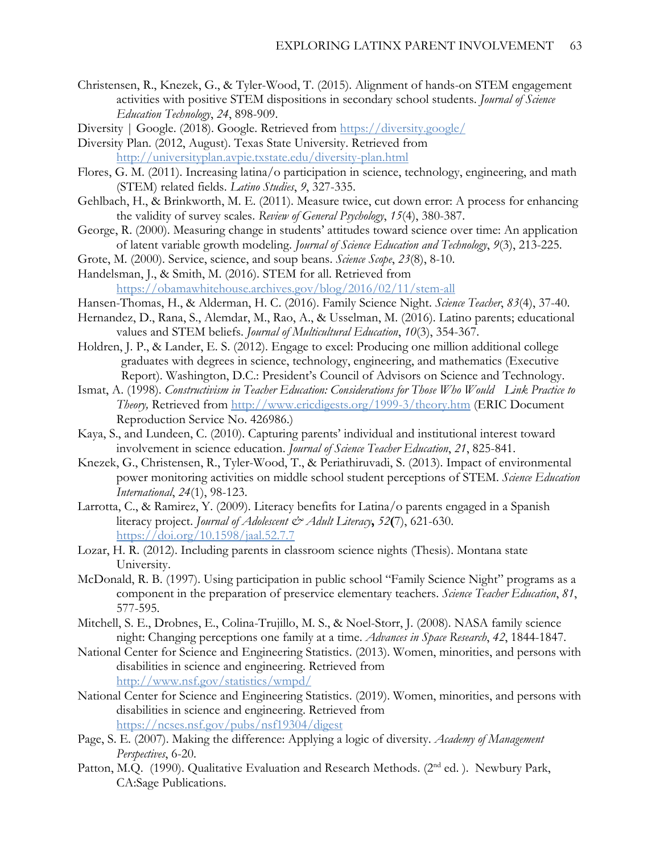- Christensen, R., Knezek, G., & Tyler-Wood, T. (2015). Alignment of hands-on STEM engagement activities with positive STEM dispositions in secondary school students. *Journal of Science Education Technology*, *24*, 898-909.
- Diversity | Google. (2018). Google. Retrieved from<https://diversity.google/>
- Diversity Plan. (2012, August). Texas State University. Retrieved from <http://universityplan.avpie.txstate.edu/diversity-plan.html>
- Flores, G. M. (2011). Increasing latina/o participation in science, technology, engineering, and math (STEM) related fields. *Latino Studies*, *9*, 327-335.
- Gehlbach, H., & Brinkworth, M. E. (2011). Measure twice, cut down error: A process for enhancing the validity of survey scales. *Review of General Psychology*, *15*(4), 380-387.
- George, R. (2000). Measuring change in students' attitudes toward science over time: An application of latent variable growth modeling. *Journal of Science Education and Technology*, *9*(3), 213-225.
- Grote, M. (2000). Service, science, and soup beans. *Science Scope*, *23*(8), 8-10.
- Handelsman, J., & Smith, M. (2016). STEM for all. Retrieved from <https://obamawhitehouse.archives.gov/blog/2016/02/11/stem-all>
- Hansen-Thomas, H., & Alderman, H. C. (2016). Family Science Night. *Science Teacher*, *83*(4), 37-40.
- Hernandez, D., Rana, S., Alemdar, M., Rao, A., & Usselman, M. (2016). Latino parents; educational values and STEM beliefs. *Journal of Multicultural Education*, *10*(3), 354-367.
- Holdren, J. P., & Lander, E. S. (2012). Engage to excel: Producing one million additional college graduates with degrees in science, technology, engineering, and mathematics (Executive Report). Washington, D.C.: President's Council of Advisors on Science and Technology.
- Ismat, A. (1998). *Constructivism in Teacher Education: Considerations for Those Who Would Link Practice to Theory,* Retrieved from<http://www.ericdigests.org/1999-3/theory.htm> (ERIC Document Reproduction Service No. 426986.)
- Kaya, S., and Lundeen, C. (2010). Capturing parents' individual and institutional interest toward involvement in science education. *Journal of Science Teacher Education*, *21*, 825-841.
- Knezek, G., Christensen, R., Tyler-Wood, T., & Periathiruvadi, S. (2013). Impact of environmental power monitoring activities on middle school student perceptions of STEM. *Science Education International*, *24*(1), 98-123.
- Larrotta, C., & Ramirez, Y. (2009). Literacy benefits for Latina/o parents engaged in a Spanish literacy project. *Journal of Adolescent & Adult Literacy***,** *52***(**7), 621-630. <https://doi.org/10.1598/jaal.52.7.7>
- Lozar, H. R. (2012). Including parents in classroom science nights (Thesis). Montana state University.
- McDonald, R. B. (1997). Using participation in public school "Family Science Night" programs as a component in the preparation of preservice elementary teachers. *Science Teacher Education*, *81*, 577-595.
- Mitchell, S. E., Drobnes, E., Colina-Trujillo, M. S., & Noel-Storr, J. (2008). NASA family science night: Changing perceptions one family at a time. *Advances in Space Research*, *42*, 1844-1847.
- National Center for Science and Engineering Statistics. (2013). Women, minorities, and persons with disabilities in science and engineering. Retrieved from <http://www.nsf.gov/statistics/wmpd/>
- National Center for Science and Engineering Statistics. (2019). Women, minorities, and persons with disabilities in science and engineering. Retrieved from <https://ncses.nsf.gov/pubs/nsf19304/digest>
- Page, S. E. (2007). Making the difference: Applying a logic of diversity. *Academy of Management Perspectives*, 6-20.
- Patton, M.Q. (1990). Qualitative Evaluation and Research Methods. (2<sup>nd</sup> ed.). Newbury Park, CA:Sage Publications.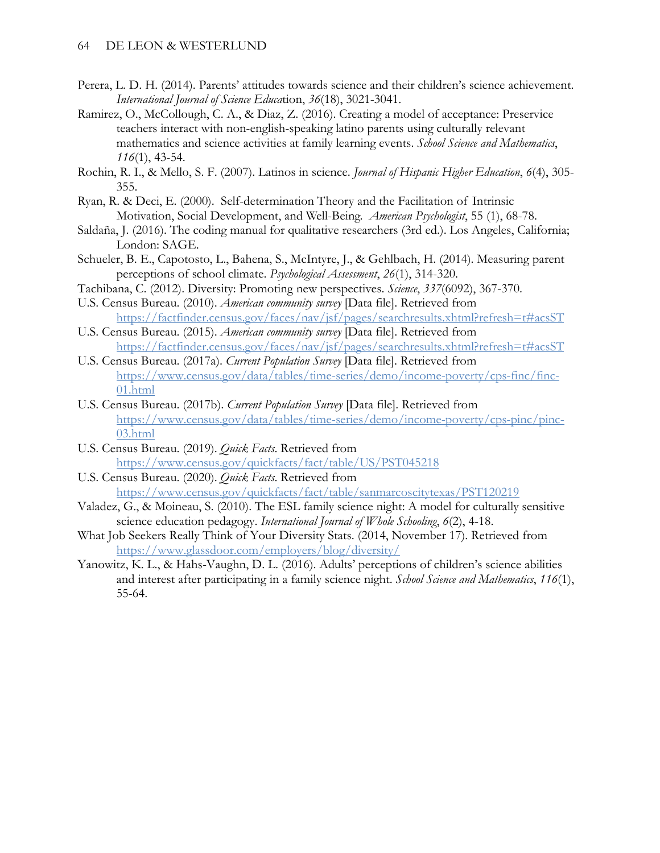- Perera, L. D. H. (2014). Parents' attitudes towards science and their children's science achievement. *International Journal of Science Educa*tion, *36*(18), 3021-3041.
- Ramirez, O., McCollough, C. A., & Diaz, Z. (2016). Creating a model of acceptance: Preservice teachers interact with non-english-speaking latino parents using culturally relevant mathematics and science activities at family learning events. *School Science and Mathematics*, *116*(1), 43-54.
- Rochin, R. I., & Mello, S. F. (2007). Latinos in science. *Journal of Hispanic Higher Education*, *6*(4), 305- 355.
- Ryan, R. & Deci, E. (2000). Self-determination Theory and the Facilitation of Intrinsic Motivation, Social Development, and Well-Being. *American Psychologist*, 55 (1), 68-78.
- Saldaña, J. (2016). The coding manual for qualitative researchers (3rd ed.). Los Angeles, California; London: SAGE.
- Schueler, B. E., Capotosto, L., Bahena, S., McIntyre, J., & Gehlbach, H. (2014). Measuring parent perceptions of school climate. *Psychological Assessment*, *26*(1), 314-320.
- Tachibana, C. (2012). Diversity: Promoting new perspectives. *Science*, *337*(6092), 367-370.
- U.S. Census Bureau. (2010). *American community survey* [Data file]. Retrieved from <https://factfinder.census.gov/faces/nav/jsf/pages/searchresults.xhtml?refresh=t#acsST>
- U.S. Census Bureau. (2015). *American community survey* [Data file]. Retrieved from <https://factfinder.census.gov/faces/nav/jsf/pages/searchresults.xhtml?refresh=t#acsST>
- U.S. Census Bureau. (2017a). *Current Population Survey* [Data file]. Retrieved from [https://www.census.gov/data/tables/time-series/demo/income-poverty/cps-finc/finc-](https://www.census.gov/data/tables/time-series/demo/income-poverty/cps-finc/finc-01.html)[01.html](https://www.census.gov/data/tables/time-series/demo/income-poverty/cps-finc/finc-01.html)
- U.S. Census Bureau. (2017b). *Current Population Survey* [Data file]. Retrieved from [https://www.census.gov/data/tables/time-series/demo/income-poverty/cps-pinc/pinc-](https://www.census.gov/data/tables/time-series/demo/income-poverty/cps-pinc/pinc-03.html)[03.html](https://www.census.gov/data/tables/time-series/demo/income-poverty/cps-pinc/pinc-03.html)
- U.S. Census Bureau. (2019). *Quick Facts*. Retrieved from <https://www.census.gov/quickfacts/fact/table/US/PST045218>
- U.S. Census Bureau. (2020). *Quick Facts*. Retrieved from <https://www.census.gov/quickfacts/fact/table/sanmarcoscitytexas/PST120219>
- Valadez, G., & Moineau, S. (2010). The ESL family science night: A model for culturally sensitive science education pedagogy. *International Journal of Whole Schooling*, *6*(2), 4-18.
- What Job Seekers Really Think of Your Diversity Stats. (2014, November 17). Retrieved from <https://www.glassdoor.com/employers/blog/diversity/>
- Yanowitz, K. L., & Hahs-Vaughn, D. L. (2016). Adults' perceptions of children's science abilities and interest after participating in a family science night. *School Science and Mathematics*, *116*(1), 55-64.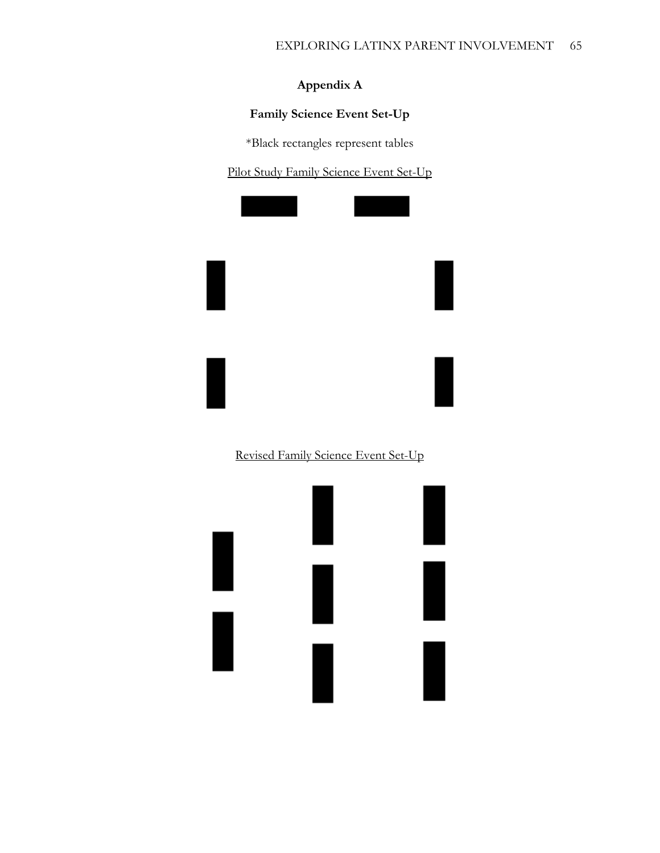# **Appendix A**

# **Family Science Event Set-Up**

\*Black rectangles represent tables

Pilot Study Family Science Event Set-Up



# Revised Family Science Event Set-Up

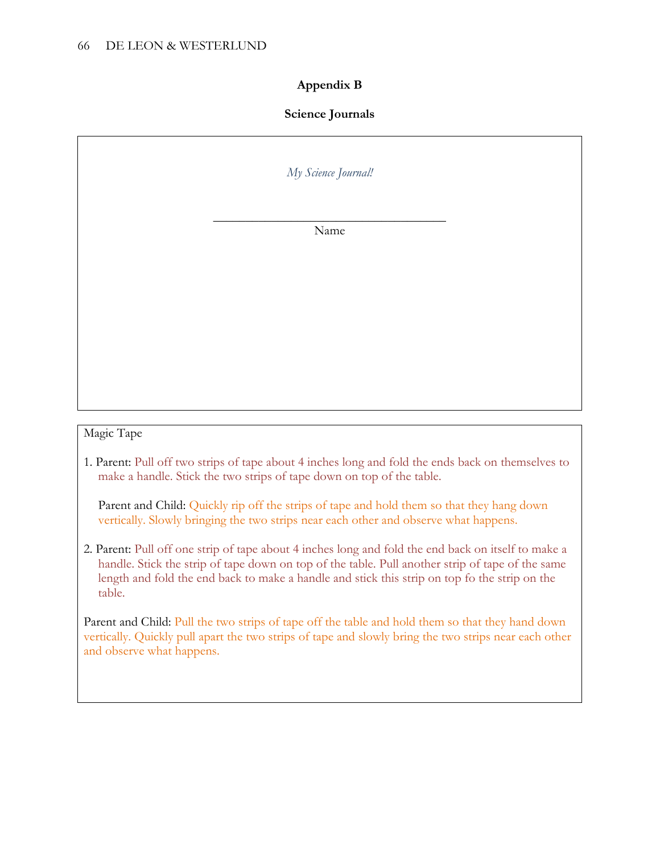### **Appendix B**

### **Science Journals**

*My Science Journal!*

\_\_\_\_\_\_\_\_\_\_\_\_\_\_\_\_\_\_\_\_\_\_\_\_\_\_\_\_\_\_\_\_\_\_\_\_ Name

### Magic Tape

1. Parent: Pull off two strips of tape about 4 inches long and fold the ends back on themselves to make a handle. Stick the two strips of tape down on top of the table.

Parent and Child: Quickly rip off the strips of tape and hold them so that they hang down vertically. Slowly bringing the two strips near each other and observe what happens.

2. Parent: Pull off one strip of tape about 4 inches long and fold the end back on itself to make a handle. Stick the strip of tape down on top of the table. Pull another strip of tape of the same length and fold the end back to make a handle and stick this strip on top fo the strip on the table.

Parent and Child: Pull the two strips of tape off the table and hold them so that they hand down vertically. Quickly pull apart the two strips of tape and slowly bring the two strips near each other and observe what happens.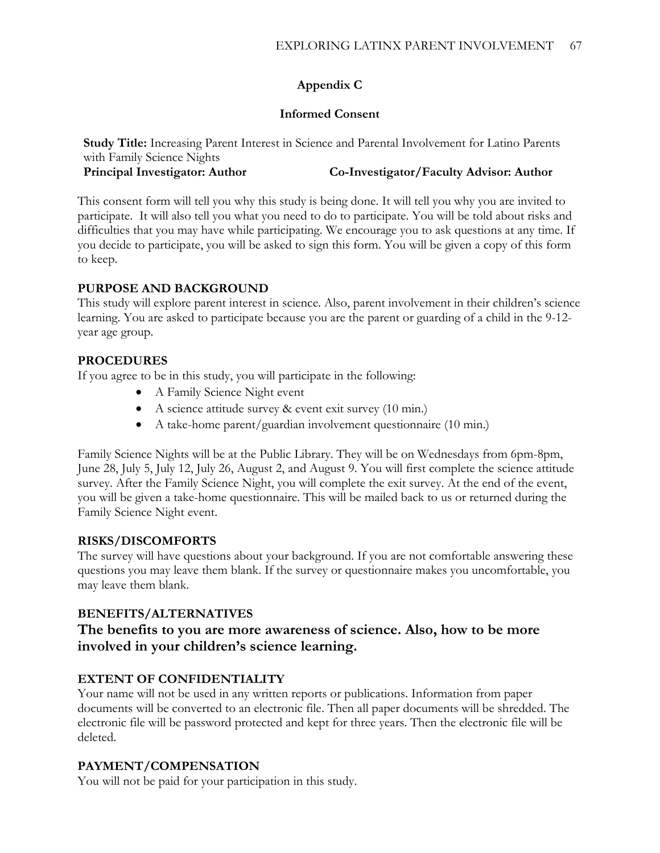# **Appendix C**

### **Informed Consent**

**Study Title:** Increasing Parent Interest in Science and Parental Involvement for Latino Parents with Family Science Nights **Principal Investigator: Author Co-Investigator/Faculty Advisor: Author**

This consent form will tell you why this study is being done. It will tell you why you are invited to participate. It will also tell you what you need to do to participate. You will be told about risks and difficulties that you may have while participating. We encourage you to ask questions at any time. If you decide to participate, you will be asked to sign this form. You will be given a copy of this form to keep.

# **PURPOSE AND BACKGROUND**

This study will explore parent interest in science. Also, parent involvement in their children's science learning. You are asked to participate because you are the parent or guarding of a child in the 9-12 year age group.

# **PROCEDURES**

If you agree to be in this study, you will participate in the following:

- A Family Science Night event
- A science attitude survey & event exit survey (10 min.)
- A take-home parent/guardian involvement questionnaire (10 min.)

Family Science Nights will be at the Public Library. They will be on Wednesdays from 6pm-8pm, June 28, July 5, July 12, July 26, August 2, and August 9. You will first complete the science attitude survey. After the Family Science Night, you will complete the exit survey. At the end of the event, you will be given a take-home questionnaire. This will be mailed back to us or returned during the Family Science Night event.

# **RISKS/DISCOMFORTS**

The survey will have questions about your background. If you are not comfortable answering these questions you may leave them blank. If the survey or questionnaire makes you uncomfortable, you may leave them blank.

# **BENEFITS/ALTERNATIVES**

# **The benefits to you are more awareness of science. Also, how to be more involved in your children's science learning.**

# **EXTENT OF CONFIDENTIALITY**

Your name will not be used in any written reports or publications. Information from paper documents will be converted to an electronic file. Then all paper documents will be shredded. The electronic file will be password protected and kept for three years. Then the electronic file will be deleted.

# **PAYMENT/COMPENSATION**

You will not be paid for your participation in this study.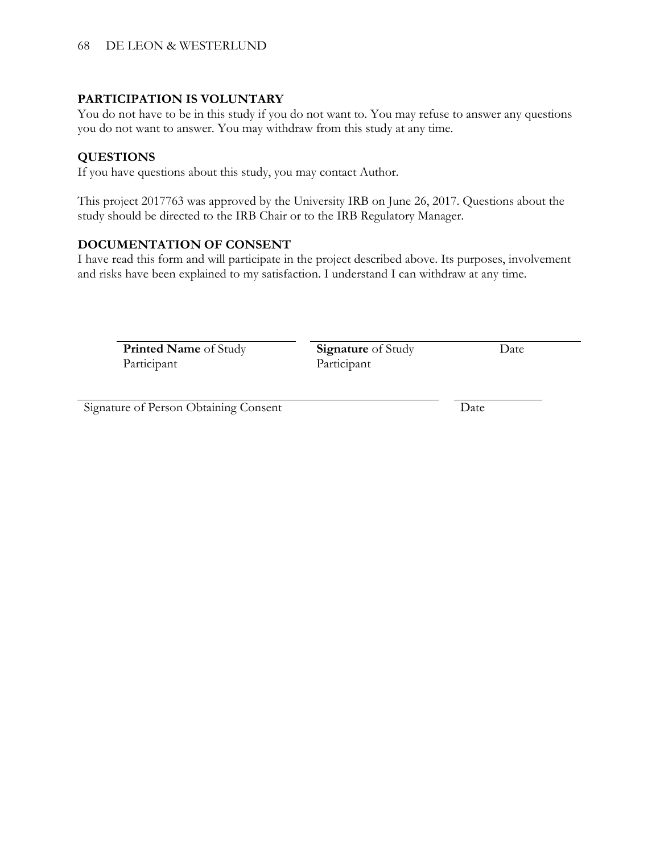### **PARTICIPATION IS VOLUNTARY**

You do not have to be in this study if you do not want to. You may refuse to answer any questions you do not want to answer. You may withdraw from this study at any time.

### **QUESTIONS**

If you have questions about this study, you may contact Author.

This project 2017763 was approved by the University IRB on June 26, 2017. Questions about the study should be directed to the IRB Chair or to the IRB Regulatory Manager.

### **DOCUMENTATION OF CONSENT**

I have read this form and will participate in the project described above. Its purposes, involvement and risks have been explained to my satisfaction. I understand I can withdraw at any time.

**Printed Name** of Study Participant

**Signature** of Study Participant

Date

Signature of Person Obtaining Consent Date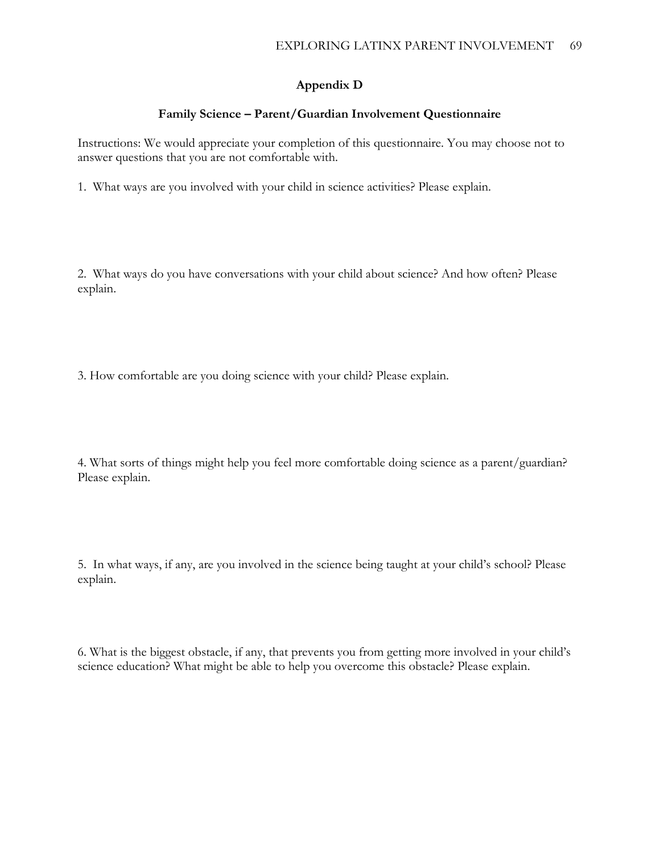### **Appendix D**

### **Family Science – Parent/Guardian Involvement Questionnaire**

Instructions: We would appreciate your completion of this questionnaire. You may choose not to answer questions that you are not comfortable with.

1. What ways are you involved with your child in science activities? Please explain.

2. What ways do you have conversations with your child about science? And how often? Please explain.

3. How comfortable are you doing science with your child? Please explain.

4. What sorts of things might help you feel more comfortable doing science as a parent/guardian? Please explain.

5. In what ways, if any, are you involved in the science being taught at your child's school? Please explain.

6. What is the biggest obstacle, if any, that prevents you from getting more involved in your child's science education? What might be able to help you overcome this obstacle? Please explain.